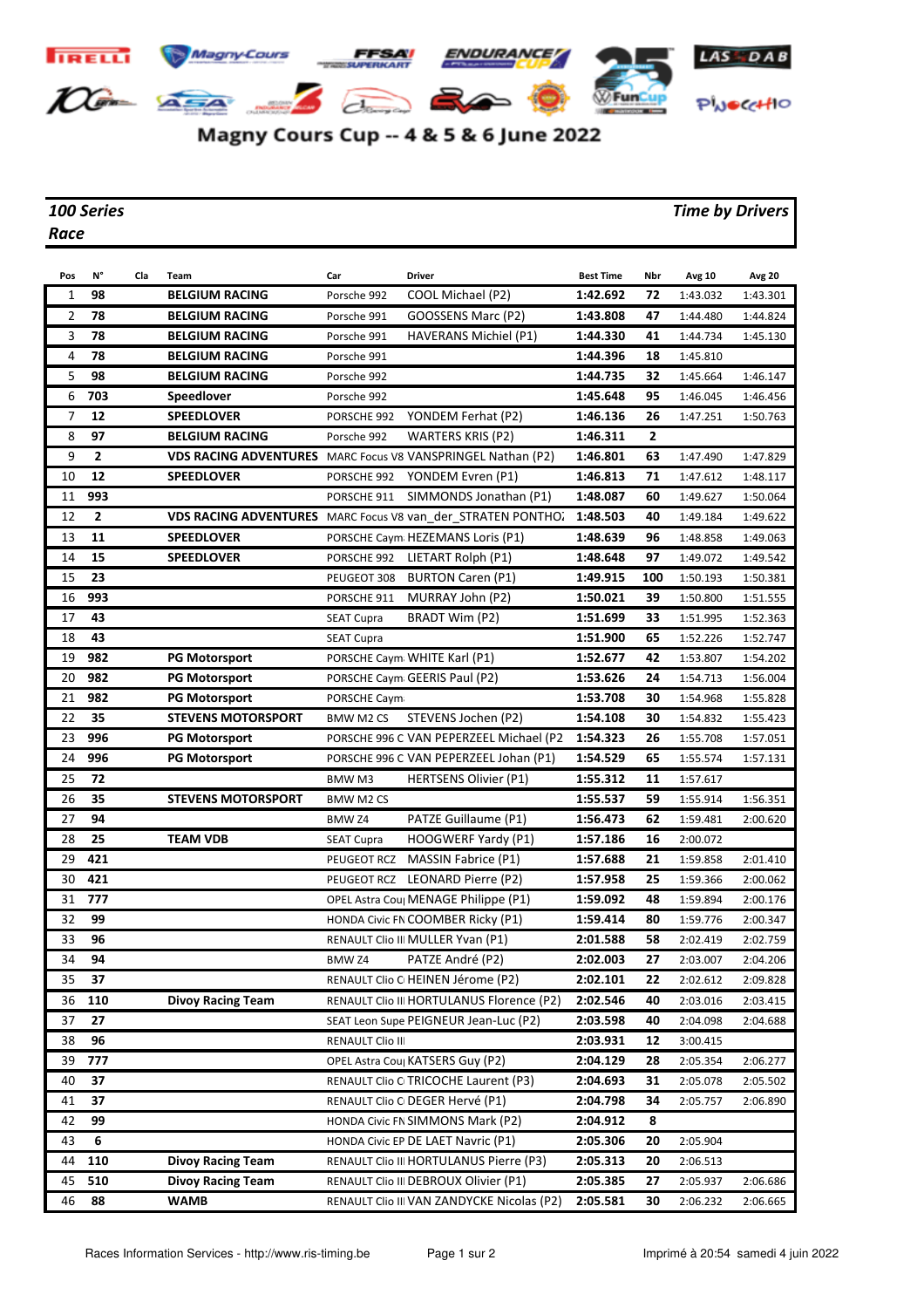

## Magny Cours Cup -- 4 & 5 & 6 June 2022

*Race*

## *100 Series Time by Drivers*

| Pos            | N°             | Cla | Team                                                        | Car               | <b>Driver</b>                                               | <b>Best Time</b> | Nbr | Avg 10   | <b>Avg 20</b> |
|----------------|----------------|-----|-------------------------------------------------------------|-------------------|-------------------------------------------------------------|------------------|-----|----------|---------------|
| $\mathbf{1}$   | 98             |     | <b>BELGIUM RACING</b>                                       | Porsche 992       | COOL Michael (P2)                                           | 1:42.692         | 72  | 1:43.032 | 1:43.301      |
| $\overline{2}$ | 78             |     | <b>BELGIUM RACING</b>                                       | Porsche 991       | GOOSSENS Marc (P2)                                          | 1:43.808         | 47  | 1:44.480 | 1:44.824      |
| 3              | 78             |     | <b>BELGIUM RACING</b>                                       | Porsche 991       | HAVERANS Michiel (P1)                                       | 1:44.330         | 41  | 1:44.734 | 1:45.130      |
| 4              | 78             |     | <b>BELGIUM RACING</b>                                       | Porsche 991       |                                                             | 1:44.396         | 18  | 1:45.810 |               |
| 5              | 98             |     | <b>BELGIUM RACING</b>                                       | Porsche 992       |                                                             | 1:44.735         | 32  | 1:45.664 | 1:46.147      |
| 6              | 703            |     | Speedlover                                                  | Porsche 992       |                                                             | 1:45.648         | 95  | 1:46.045 | 1:46.456      |
| 7              | 12             |     | <b>SPEEDLOVER</b>                                           | PORSCHE 992       | YONDEM Ferhat (P2)                                          | 1:46.136         | 26  | 1:47.251 | 1:50.763      |
| 8              | 97             |     | <b>BELGIUM RACING</b>                                       | Porsche 992       | WARTERS KRIS (P2)                                           | 1:46.311         | 2   |          |               |
| 9              | $\mathbf{2}$   |     | VDS RACING ADVENTURES MARC Focus V8 VANSPRINGEL Nathan (P2) |                   |                                                             | 1:46.801         | 63  | 1:47.490 | 1:47.829      |
| 10             | 12             |     | <b>SPEEDLOVER</b>                                           |                   | PORSCHE 992 YONDEM Evren (P1)                               | 1:46.813         | 71  | 1:47.612 | 1:48.117      |
| 11             | 993            |     |                                                             |                   | PORSCHE 911 SIMMONDS Jonathan (P1)                          | 1:48.087         | 60  | 1:49.627 | 1:50.064      |
| 12             | $\overline{2}$ |     |                                                             |                   | VDS RACING ADVENTURES MARC Focus V8 van der STRATEN PONTHO. | 1:48.503         | 40  | 1:49.184 | 1:49.622      |
| 13             | 11             |     | <b>SPEEDLOVER</b>                                           |                   | PORSCHE Caym HEZEMANS Loris (P1)                            | 1:48.639         | 96  | 1:48.858 | 1:49.063      |
| 14             | 15             |     | <b>SPEEDLOVER</b>                                           |                   | PORSCHE 992 LIETART Rolph (P1)                              | 1:48.648         | 97  | 1:49.072 | 1:49.542      |
| 15             | 23             |     |                                                             | PEUGEOT 308       | BURTON Caren (P1)                                           | 1:49.915         | 100 | 1:50.193 | 1:50.381      |
| 16             | 993            |     |                                                             | PORSCHE 911       | MURRAY John (P2)                                            | 1:50.021         | 39  | 1:50.800 | 1:51.555      |
| 17             | 43             |     |                                                             | <b>SEAT Cupra</b> | <b>BRADT Wim (P2)</b>                                       | 1:51.699         | 33  | 1:51.995 | 1:52.363      |
| 18             | 43             |     |                                                             | <b>SEAT Cupra</b> |                                                             | 1:51.900         | 65  | 1:52.226 | 1:52.747      |
| 19             | 982            |     | <b>PG Motorsport</b>                                        |                   | PORSCHE Caym WHITE Karl (P1)                                | 1:52.677         | 42  | 1:53.807 | 1:54.202      |
| 20             | 982            |     | <b>PG Motorsport</b>                                        |                   | PORSCHE Caym GEERIS Paul (P2)                               | 1:53.626         | 24  | 1:54.713 | 1:56.004      |
| 21             | 982            |     | <b>PG Motorsport</b>                                        | PORSCHE Caym      |                                                             | 1:53.708         | 30  | 1:54.968 | 1:55.828      |
| 22             | 35             |     | <b>STEVENS MOTORSPORT</b>                                   | <b>BMW M2 CS</b>  | STEVENS Jochen (P2)                                         | 1:54.108         | 30  | 1:54.832 | 1:55.423      |
| 23             | 996            |     | <b>PG Motorsport</b>                                        |                   | PORSCHE 996 C VAN PEPERZEEL Michael (P2                     | 1:54.323         | 26  | 1:55.708 | 1:57.051      |
| 24             | 996            |     | <b>PG Motorsport</b>                                        |                   | PORSCHE 996 C VAN PEPERZEEL Johan (P1)                      | 1:54.529         | 65  | 1:55.574 | 1:57.131      |
| 25             | 72             |     |                                                             | BMW M3            | <b>HERTSENS Olivier (P1)</b>                                | 1:55.312         | 11  | 1:57.617 |               |
| 26             | 35             |     | <b>STEVENS MOTORSPORT</b>                                   | <b>BMW M2 CS</b>  |                                                             | 1:55.537         | 59  | 1:55.914 | 1:56.351      |
| 27             | 94             |     |                                                             | BMW Z4            | PATZE Guillaume (P1)                                        | 1:56.473         | 62  | 1:59.481 | 2:00.620      |
| 28             | 25             |     | <b>TEAM VDB</b>                                             | <b>SEAT Cupra</b> | HOOGWERF Yardy (P1)                                         | 1:57.186         | 16  | 2:00.072 |               |
| 29             | 421            |     |                                                             | PEUGEOT RCZ       | <b>MASSIN Fabrice (P1)</b>                                  | 1:57.688         | 21  | 1:59.858 | 2:01.410      |
| 30             | 421            |     |                                                             |                   | PEUGEOT RCZ LEONARD Pierre (P2)                             | 1:57.958         | 25  | 1:59.366 | 2:00.062      |
| 31             | 777            |     |                                                             |                   | OPEL Astra Cou MENAGE Philippe (P1)                         | 1:59.092         | 48  | 1:59.894 | 2:00.176      |
| 32             | 99             |     |                                                             |                   | HONDA Civic FN COOMBER Ricky (P1)                           | 1:59.414         | 80  | 1:59.776 | 2:00.347      |
| 33             | 96             |     |                                                             |                   | RENAULT Clio III MULLER Yvan (P1)                           | 2:01.588         | 58  | 2:02.419 | 2:02.759      |
| 34             | 94             |     |                                                             | BMW Z4            | PATZE André (P2)                                            | 2:02.003         | 27  | 2:03.007 | 2:04.206      |
| 35             | 37             |     |                                                             |                   | RENAULT Clio C HEINEN Jérome (P2)                           | 2:02.101         | 22  | 2:02.612 | 2:09.828      |
| 36             | 110            |     | <b>Divoy Racing Team</b>                                    |                   | RENAULT Clio III HORTULANUS Florence (P2)                   | 2:02.546         | 40  | 2:03.016 | 2:03.415      |
| 37             | 27             |     |                                                             |                   | SEAT Leon Supe PEIGNEUR Jean-Luc (P2)                       | 2:03.598         | 40  | 2:04.098 | 2:04.688      |
| 38             | 96             |     |                                                             | RENAULT Clio III  |                                                             | 2:03.931         | 12  | 3:00.415 |               |
| 39             | 777            |     |                                                             |                   | OPEL Astra Coul KATSERS Guy (P2)                            | 2:04.129         | 28  | 2:05.354 | 2:06.277      |
| 40             | 37             |     |                                                             |                   | RENAULT Clio C TRICOCHE Laurent (P3)                        | 2:04.693         | 31  | 2:05.078 | 2:05.502      |
| 41             | 37             |     |                                                             |                   | RENAULT Clio C DEGER Hervé (P1)                             | 2:04.798         | 34  | 2:05.757 | 2:06.890      |
| 42             | 99             |     |                                                             |                   | HONDA Civic FN SIMMONS Mark (P2)                            | 2:04.912         | 8   |          |               |
| 43             | 6              |     |                                                             |                   | HONDA Civic EP DE LAET Navric (P1)                          | 2:05.306         | 20  | 2:05.904 |               |
| 44             | 110            |     | <b>Divoy Racing Team</b>                                    |                   | RENAULT Clio III HORTULANUS Pierre (P3)                     | 2:05.313         | 20  | 2:06.513 |               |
| 45             | 510            |     | <b>Divoy Racing Team</b>                                    |                   | RENAULT Clio III DEBROUX Olivier (P1)                       | 2:05.385         | 27  | 2:05.937 | 2:06.686      |
| 46             | 88             |     | <b>WAMB</b>                                                 |                   | RENAULT Clio III VAN ZANDYCKE Nicolas (P2)                  | 2:05.581         | 30  | 2:06.232 | 2:06.665      |